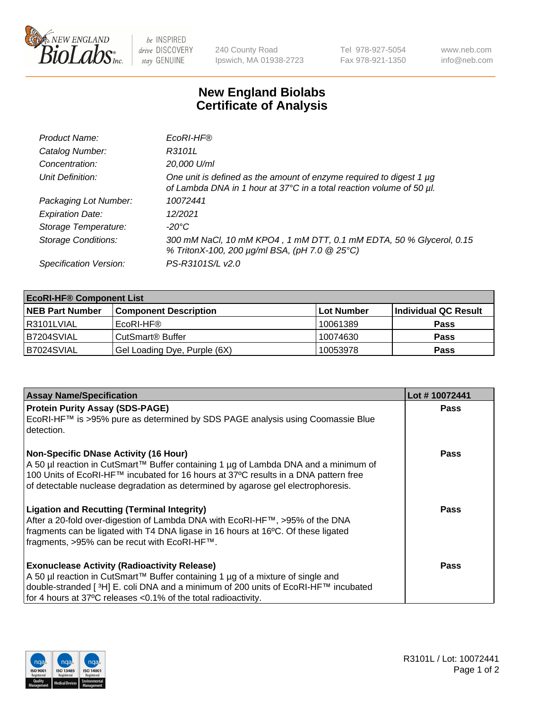

 $be$  INSPIRED drive DISCOVERY stay GENUINE

240 County Road Ipswich, MA 01938-2723 Tel 978-927-5054 Fax 978-921-1350 www.neb.com info@neb.com

## **New England Biolabs Certificate of Analysis**

| Product Name:              | EcoRI-HF®                                                                                                                                   |
|----------------------------|---------------------------------------------------------------------------------------------------------------------------------------------|
| Catalog Number:            | R3101L                                                                                                                                      |
| Concentration:             | 20,000 U/ml                                                                                                                                 |
| Unit Definition:           | One unit is defined as the amount of enzyme required to digest 1 µg<br>of Lambda DNA in 1 hour at 37°C in a total reaction volume of 50 µl. |
| Packaging Lot Number:      | 10072441                                                                                                                                    |
| <b>Expiration Date:</b>    | 12/2021                                                                                                                                     |
| Storage Temperature:       | -20°C                                                                                                                                       |
| <b>Storage Conditions:</b> | 300 mM NaCl, 10 mM KPO4, 1 mM DTT, 0.1 mM EDTA, 50 % Glycerol, 0.15<br>% TritonX-100, 200 µg/ml BSA, (pH 7.0 @ 25°C)                        |
| Specification Version:     | PS-R3101S/L v2.0                                                                                                                            |

| <b>EcoRI-HF® Component List</b> |                              |                   |                      |  |  |
|---------------------------------|------------------------------|-------------------|----------------------|--|--|
| <b>NEB Part Number</b>          | <b>Component Description</b> | <b>Lot Number</b> | Individual QC Result |  |  |
| R3101LVIAL                      | EcoRI-HF®                    | 10061389          | <b>Pass</b>          |  |  |
| IB7204SVIAL                     | CutSmart <sup>®</sup> Buffer | 10074630          | <b>Pass</b>          |  |  |
| B7024SVIAL                      | Gel Loading Dye, Purple (6X) | 10053978          | <b>Pass</b>          |  |  |

| <b>Assay Name/Specification</b>                                                                                                                                                                                                                                | Lot #10072441 |
|----------------------------------------------------------------------------------------------------------------------------------------------------------------------------------------------------------------------------------------------------------------|---------------|
| <b>Protein Purity Assay (SDS-PAGE)</b>                                                                                                                                                                                                                         | <b>Pass</b>   |
| EcoRI-HF™ is >95% pure as determined by SDS PAGE analysis using Coomassie Blue<br>detection.                                                                                                                                                                   |               |
| <b>Non-Specific DNase Activity (16 Hour)</b>                                                                                                                                                                                                                   | Pass          |
| A 50 µl reaction in CutSmart™ Buffer containing 1 µg of Lambda DNA and a minimum of<br>100 Units of EcoRI-HF™ incubated for 16 hours at 37°C results in a DNA pattern free<br>of detectable nuclease degradation as determined by agarose gel electrophoresis. |               |
| <b>Ligation and Recutting (Terminal Integrity)</b>                                                                                                                                                                                                             | Pass          |
| After a 20-fold over-digestion of Lambda DNA with EcoRI-HF™, >95% of the DNA                                                                                                                                                                                   |               |
| fragments can be ligated with T4 DNA ligase in 16 hours at 16°C. Of these ligated<br>fragments, >95% can be recut with EcoRI-HF™.                                                                                                                              |               |
|                                                                                                                                                                                                                                                                |               |
| <b>Exonuclease Activity (Radioactivity Release)</b>                                                                                                                                                                                                            | Pass          |
| A 50 µl reaction in CutSmart™ Buffer containing 1 µg of a mixture of single and                                                                                                                                                                                |               |
| double-stranded [ <sup>3</sup> H] E. coli DNA and a minimum of 200 units of EcoRI-HF™ incubated                                                                                                                                                                |               |
| for 4 hours at 37°C releases <0.1% of the total radioactivity.                                                                                                                                                                                                 |               |